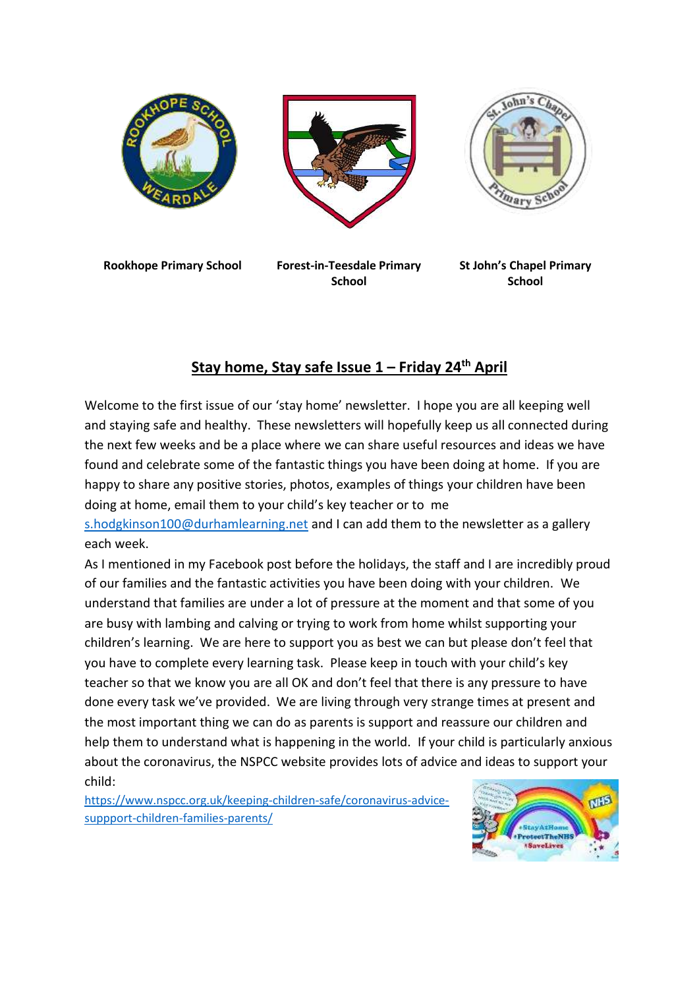





**Rookhope Primary School Forest-in-Teesdale Primary School**

**St John's Chapel Primary School**

# **Stay home, Stay safe Issue 1 – Friday 24th April**

Welcome to the first issue of our 'stay home' newsletter. I hope you are all keeping well and staying safe and healthy. These newsletters will hopefully keep us all connected during the next few weeks and be a place where we can share useful resources and ideas we have found and celebrate some of the fantastic things you have been doing at home. If you are happy to share any positive stories, photos, examples of things your children have been doing at home, email them to your child's key teacher or to me [s.hodgkinson100@durhamlearning.net](mailto:s.hodgkinson100@durhamlearning.net) and I can add them to the newsletter as a gallery

each week.

As I mentioned in my Facebook post before the holidays, the staff and I are incredibly proud of our families and the fantastic activities you have been doing with your children. We understand that families are under a lot of pressure at the moment and that some of you are busy with lambing and calving or trying to work from home whilst supporting your children's learning. We are here to support you as best we can but please don't feel that you have to complete every learning task. Please keep in touch with your child's key teacher so that we know you are all OK and don't feel that there is any pressure to have done every task we've provided. We are living through very strange times at present and the most important thing we can do as parents is support and reassure our children and help them to understand what is happening in the world. If your child is particularly anxious about the coronavirus, the NSPCC website provides lots of advice and ideas to support your child:

[https://www.nspcc.org.uk/keeping-children-safe/coronavirus-advice](https://www.nspcc.org.uk/keeping-children-safe/coronavirus-advice-suppport-children-families-parents/)[suppport-children-families-parents/](https://www.nspcc.org.uk/keeping-children-safe/coronavirus-advice-suppport-children-families-parents/)

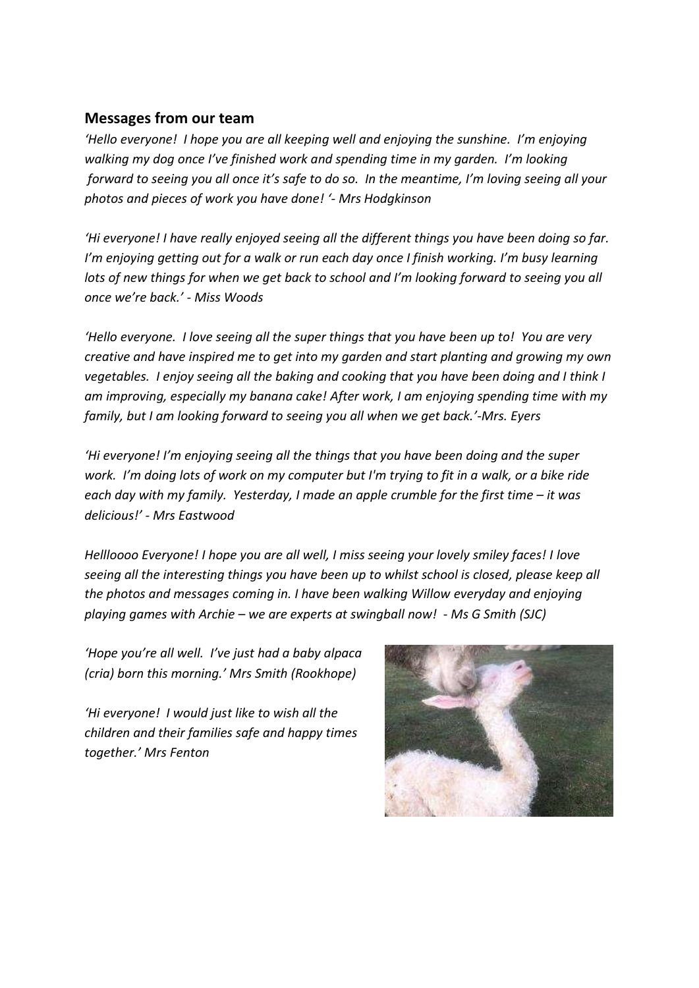## **Messages from our team**

*'Hello everyone! I hope you are all keeping well and enjoying the sunshine. I'm enjoying walking my dog once I've finished work and spending time in my garden. I'm looking forward to seeing you all once it's safe to do so. In the meantime, I'm loving seeing all your photos and pieces of work you have done! '- Mrs Hodgkinson*

*'Hi everyone! I have really enjoyed seeing all the different things you have been doing so far. I'm enjoying getting out for a walk or run each day once I finish working. I'm busy learning lots of new things for when we get back to school and I'm looking forward to seeing you all once we're back.' - Miss Woods*

*'Hello everyone. I love seeing all the super things that you have been up to! You are very creative and have inspired me to get into my garden and start planting and growing my own vegetables. I enjoy seeing all the baking and cooking that you have been doing and I think I am improving, especially my banana cake! After work, I am enjoying spending time with my family, but I am looking forward to seeing you all when we get back.'-Mrs. Eyers*

*'Hi everyone! I'm enjoying seeing all the things that you have been doing and the super work. I'm doing lots of work on my computer but I'm trying to fit in a walk, or a bike ride each day with my family. Yesterday, I made an apple crumble for the first time – it was delicious!' - Mrs Eastwood*

*Hellloooo Everyone! I hope you are all well, I miss seeing your lovely smiley faces! I love seeing all the interesting things you have been up to whilst school is closed, please keep all the photos and messages coming in. I have been walking Willow everyday and enjoying playing games with Archie – we are experts at swingball now! - Ms G Smith (SJC)*

*'Hope you're all well. I've just had a baby alpaca (cria) born this morning.' Mrs Smith (Rookhope)*

*'Hi everyone! I would just like to wish all the children and their families safe and happy times together.' Mrs Fenton*

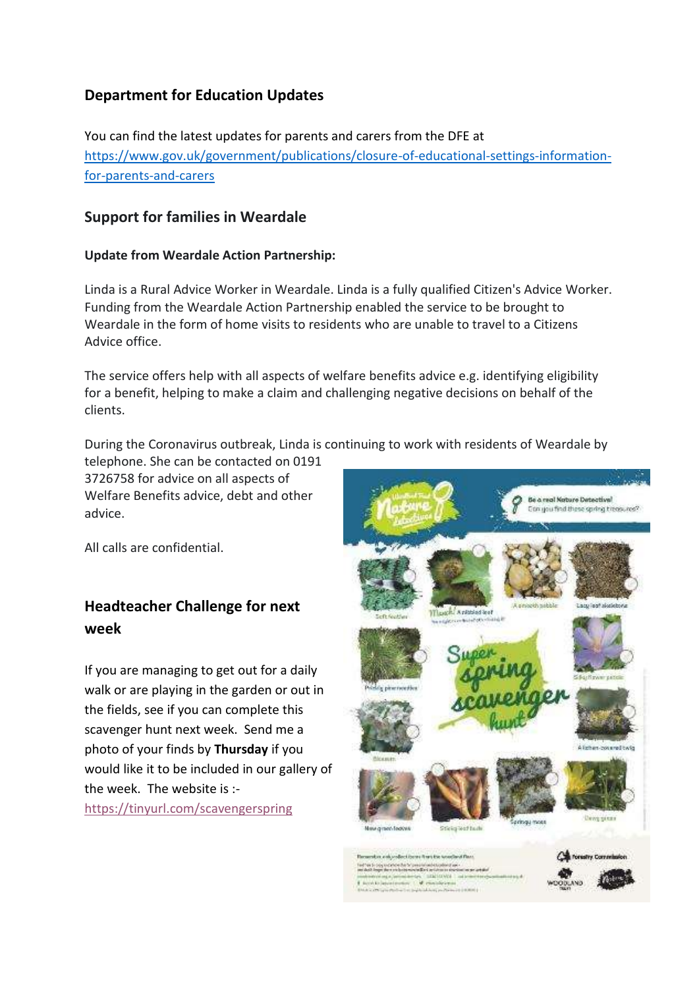# **Department for Education Updates**

You can find the latest updates for parents and carers from the DFE at [https://www.gov.uk/government/publications/closure-of-educational-settings-information](https://www.gov.uk/government/publications/closure-of-educational-settings-information-for-parents-and-carers)[for-parents-and-carers](https://www.gov.uk/government/publications/closure-of-educational-settings-information-for-parents-and-carers)

# **Support for families in Weardale**

### **Update from Weardale Action Partnership:**

Linda is a Rural Advice Worker in Weardale. Linda is a fully qualified Citizen's Advice Worker. Funding from the Weardale Action Partnership enabled the service to be brought to Weardale in the form of home visits to residents who are unable to travel to a Citizens Advice office.

The service offers help with all aspects of welfare benefits advice e.g. identifying eligibility for a benefit, helping to make a claim and challenging negative decisions on behalf of the clients.

During the Coronavirus outbreak, Linda is continuing to work with residents of Weardale by

telephone. She can be contacted on 0191 3726758 for advice on all aspects of Welfare Benefits advice, debt and other advice.

All calls are confidential.

# **Headteacher Challenge for next week**

If you are managing to get out for a daily walk or are playing in the garden or out in the fields, see if you can complete this scavenger hunt next week. Send me a photo of your finds by **Thursday** if you would like it to be included in our gallery of the week. The website is :-

<https://tinyurl.com/scavengerspring>

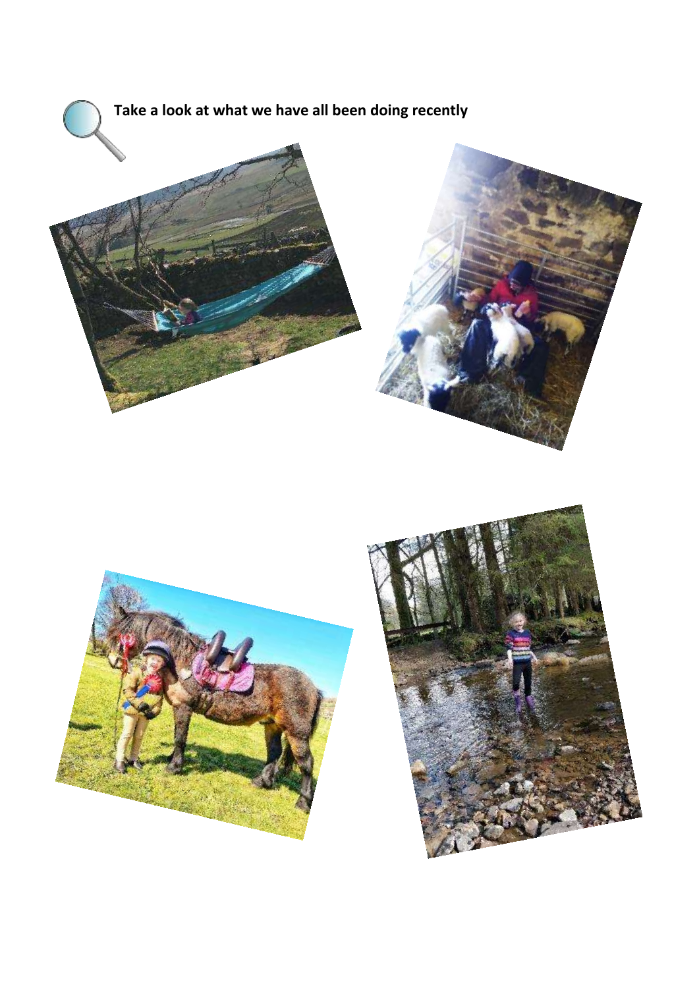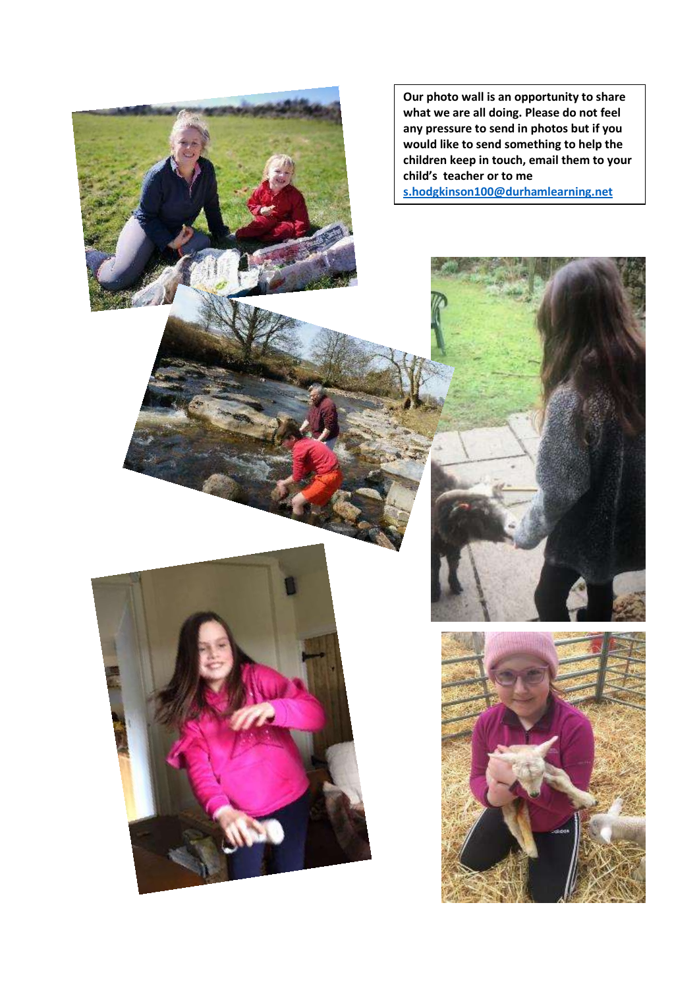**Our photo wall is an opportunity to share what we are all doing. Please do not feel any pressure to send in photos but if you would like to send something to help the children keep in touch, email them to your child's teacher or to me [s.hodgkinson100@durhamlearning.net](mailto:s.hodgkinson100@durhamlearning.net)**



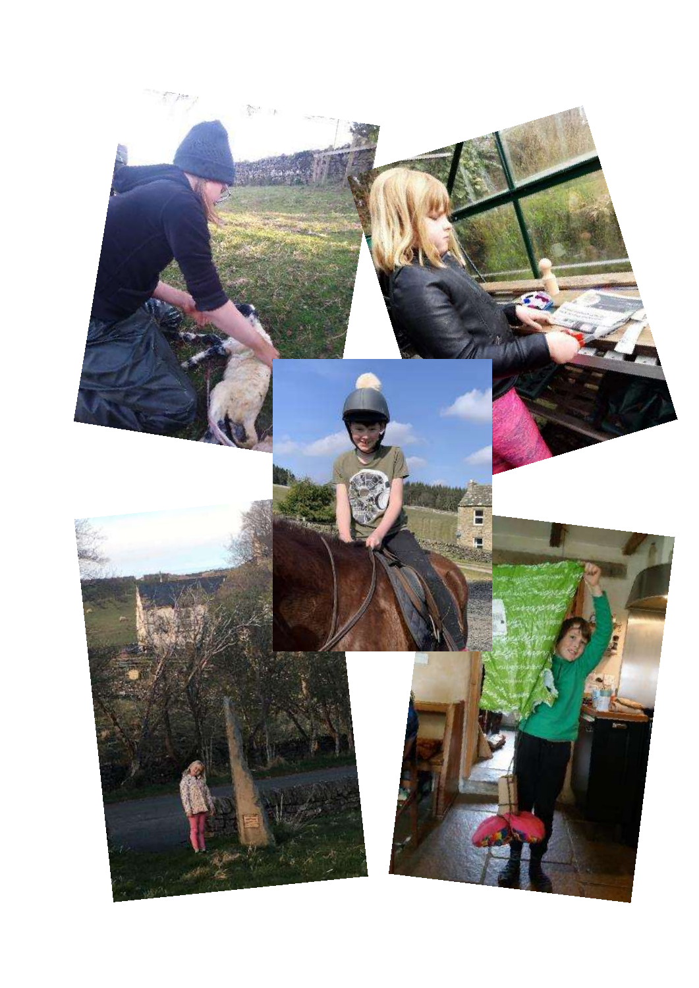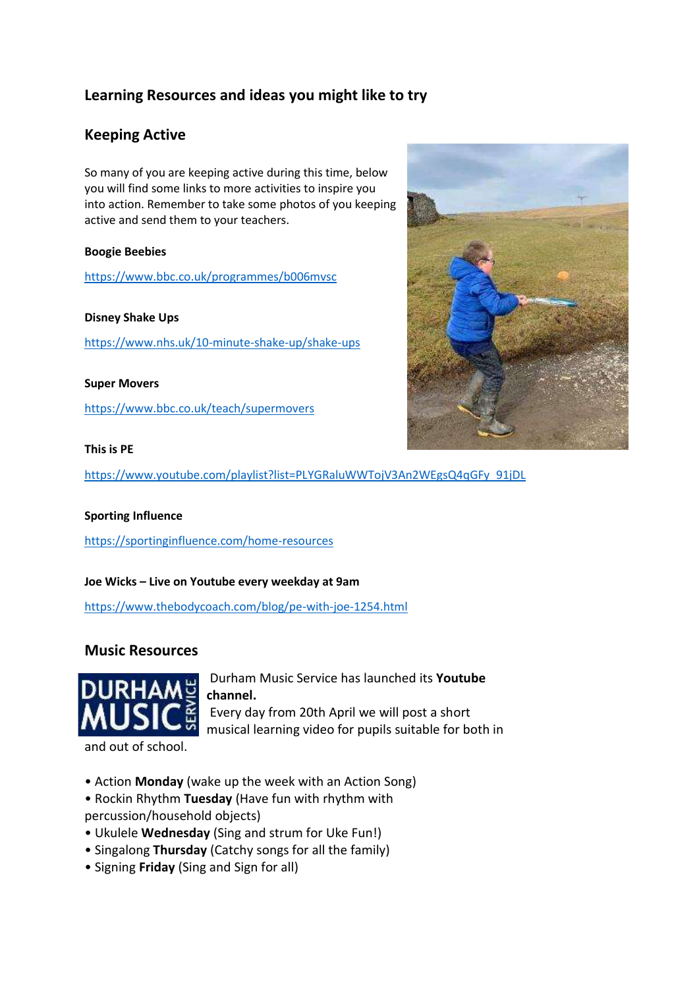# **Learning Resources and ideas you might like to try**

## **Keeping Active**

So many of you are keeping active during this time, below you will find some links to more activities to inspire you into action. Remember to take some photos of you keeping active and send them to your teachers.

#### **Boogie Beebies**

[https://www.bbc.co.uk/programmes/b006mvsc](https://eur03.safelinks.protection.outlook.com/?url=https%3A%2F%2Fwww.bbc.co.uk%2Fprogrammes%2Fb006mvsc&data=02%7C01%7Cs.hodgkinson100%40durhamlearning.net%7Ce4f6f8f36d0e4cf635ef08d7e6b97e97%7C45dfff5283644d73bf3a8f98bdf10d87%7C0%7C0%7C637231556685117465&sdata=eHg644mghZf9BL8NQesMhyIfDrl9tCP9EML0%2BwoHbhg%3D&reserved=0)

#### **Disney Shake Ups**

[https://www.nhs.uk/10-minute-shake-up/shake-ups](https://eur03.safelinks.protection.outlook.com/?url=https%3A%2F%2Fwww.nhs.uk%2F10-minute-shake-up%2Fshake-ups&data=02%7C01%7Cs.hodgkinson100%40durhamlearning.net%7Ce4f6f8f36d0e4cf635ef08d7e6b97e97%7C45dfff5283644d73bf3a8f98bdf10d87%7C0%7C0%7C637231556685127461&sdata=PZbEI%2BIiQM86aZId5VmyuAFcAZQM4xcSB5R6fMyiRkM%3D&reserved=0)

#### **Super Movers**

[https://www.bbc.co.uk/teach/supermovers](https://eur03.safelinks.protection.outlook.com/?url=https%3A%2F%2Fwww.bbc.co.uk%2Fteach%2Fsupermovers&data=02%7C01%7Cs.hodgkinson100%40durhamlearning.net%7Ce4f6f8f36d0e4cf635ef08d7e6b97e97%7C45dfff5283644d73bf3a8f98bdf10d87%7C0%7C0%7C637231556685127461&sdata=SQ1TriNwPsHz6e4sFhPuJDejYyczDFrm%2F6ze5iLtgUI%3D&reserved=0)

#### **This is PE**

[https://www.youtube.com/playlist?list=PLYGRaluWWTojV3An2WEgsQ4qGFy\\_91jDL](https://eur03.safelinks.protection.outlook.com/?url=https%3A%2F%2Fwww.youtube.com%2Fplaylist%3Flist%3DPLYGRaluWWTojV3An2WEgsQ4qGFy_91jDL&data=02%7C01%7Cs.hodgkinson100%40durhamlearning.net%7Ce4f6f8f36d0e4cf635ef08d7e6b97e97%7C45dfff5283644d73bf3a8f98bdf10d87%7C0%7C0%7C637231556685127461&sdata=LHW2%2BkiZnx%2FojWSInX3%2B8BHx2Px15UvqaNENPLkZ7bs%3D&reserved=0)

#### **Sporting Influence**

[https://sportinginfluence.com/home-resources](https://eur03.safelinks.protection.outlook.com/?url=https%3A%2F%2Fsportinginfluence.com%2Fhome-resources&data=02%7C01%7Cs.hodgkinson100%40durhamlearning.net%7Ce4f6f8f36d0e4cf635ef08d7e6b97e97%7C45dfff5283644d73bf3a8f98bdf10d87%7C0%7C0%7C637231556685137451&sdata=H4q7clngQcIylOMZ18lCBtz6I%2B223YTYQDmt1hSyDlU%3D&reserved=0)

#### **Joe Wicks – Live on Youtube every weekday at 9am**

[https://www.thebodycoach.com/blog/pe-with-joe-1254.html](https://eur03.safelinks.protection.outlook.com/?url=https%3A%2F%2Fwww.thebodycoach.com%2Fblog%2Fpe-with-joe-1254.html&data=02%7C01%7Cs.hodgkinson100%40durhamlearning.net%7Ce4f6f8f36d0e4cf635ef08d7e6b97e97%7C45dfff5283644d73bf3a8f98bdf10d87%7C0%7C0%7C637231556685137451&sdata=2ssjV1MmZLdgar7OB7JYajAwDE2U%2FaPVqGSUMmM7jMg%3D&reserved=0)

### **Music Resources**



Durham Music Service has launched its **Youtube channel.** Every day from 20th April we will post a short musical learning video for pupils suitable for both in

and out of school.

- Action **Monday** (wake up the week with an Action Song)
- Rockin Rhythm **Tuesday** (Have fun with rhythm with percussion/household objects)
- Ukulele **Wednesday** (Sing and strum for Uke Fun!)
- Singalong **Thursday** (Catchy songs for all the family)
- Signing **Friday** (Sing and Sign for all)